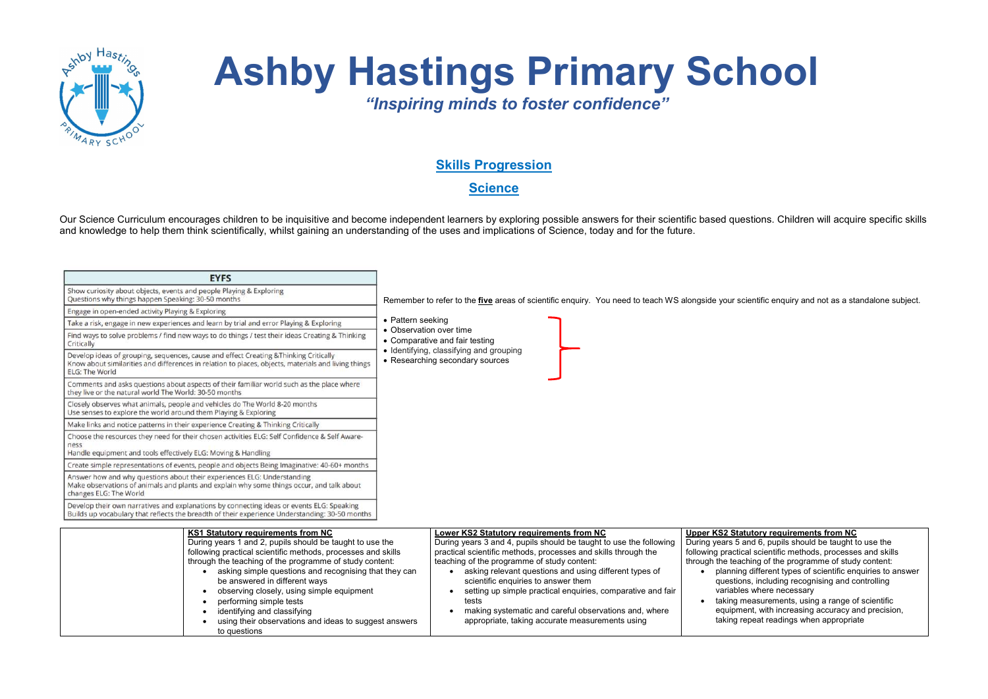Our Science Curriculum encourages children to be inquisitive and become independent learners by exploring possible answers for their scientific based questions. Children will acquire specific skills and knowledge to help them think scientifically, whilst gaining an understanding of the uses and implications of Science, today and for the future.

| <b>EYFS</b>                                                                                                                                                                                                                                                                                                                                                                                                                                                                                         |                                                                                                                                                                                                                                                                                                                                                                                                                                                                                                                      |                                                                                                                                                            |
|-----------------------------------------------------------------------------------------------------------------------------------------------------------------------------------------------------------------------------------------------------------------------------------------------------------------------------------------------------------------------------------------------------------------------------------------------------------------------------------------------------|----------------------------------------------------------------------------------------------------------------------------------------------------------------------------------------------------------------------------------------------------------------------------------------------------------------------------------------------------------------------------------------------------------------------------------------------------------------------------------------------------------------------|------------------------------------------------------------------------------------------------------------------------------------------------------------|
| Show curiosity about objects, events and people Playing & Exploring<br>Questions why things happen Speaking: 30-50 months                                                                                                                                                                                                                                                                                                                                                                           | Remember to refer to the five areas of scientific enquiry. You need to teach WS alongside your sc                                                                                                                                                                                                                                                                                                                                                                                                                    |                                                                                                                                                            |
| Engage in open-ended activity Playing & Exploring                                                                                                                                                                                                                                                                                                                                                                                                                                                   |                                                                                                                                                                                                                                                                                                                                                                                                                                                                                                                      |                                                                                                                                                            |
| Take a risk, engage in new experiences and learn by trial and error Playing & Exploring                                                                                                                                                                                                                                                                                                                                                                                                             | • Pattern seeking                                                                                                                                                                                                                                                                                                                                                                                                                                                                                                    |                                                                                                                                                            |
| Find ways to solve problems / find new ways to do things / test their ideas Creating & Thinking<br>Critically                                                                                                                                                                                                                                                                                                                                                                                       | • Observation over time<br>• Comparative and fair testing                                                                                                                                                                                                                                                                                                                                                                                                                                                            |                                                                                                                                                            |
| Develop ideas of grouping, sequences, cause and effect Creating & Thinking Critically<br>Know about similarities and differences in relation to places, objects, materials and living things<br><b>ELG: The World</b>                                                                                                                                                                                                                                                                               | · Identifying, classifying and grouping<br>• Researching secondary sources                                                                                                                                                                                                                                                                                                                                                                                                                                           |                                                                                                                                                            |
| Comments and asks questions about aspects of their familiar world such as the place where<br>they live or the natural world The World: 30-50 months                                                                                                                                                                                                                                                                                                                                                 |                                                                                                                                                                                                                                                                                                                                                                                                                                                                                                                      |                                                                                                                                                            |
| Closely observes what animals, people and vehicles do The World 8-20 months<br>Use senses to explore the world around them Playing & Exploring                                                                                                                                                                                                                                                                                                                                                      |                                                                                                                                                                                                                                                                                                                                                                                                                                                                                                                      |                                                                                                                                                            |
| Make links and notice patterns in their experience Creating & Thinking Critically                                                                                                                                                                                                                                                                                                                                                                                                                   |                                                                                                                                                                                                                                                                                                                                                                                                                                                                                                                      |                                                                                                                                                            |
| Choose the resources they need for their chosen activities ELG: Self Confidence & Self Aware-<br>ness<br>Handle equipment and tools effectively ELG: Moving & Handling                                                                                                                                                                                                                                                                                                                              |                                                                                                                                                                                                                                                                                                                                                                                                                                                                                                                      |                                                                                                                                                            |
| Create simple representations of events, people and objects Being Imaginative: 40-60+ months                                                                                                                                                                                                                                                                                                                                                                                                        |                                                                                                                                                                                                                                                                                                                                                                                                                                                                                                                      |                                                                                                                                                            |
| Answer how and why questions about their experiences ELG: Understanding<br>Make observations of animals and plants and explain why some things occur, and talk about<br>changes ELG: The World                                                                                                                                                                                                                                                                                                      |                                                                                                                                                                                                                                                                                                                                                                                                                                                                                                                      |                                                                                                                                                            |
| Develop their own narratives and explanations by connecting ideas or events ELG: Speaking<br>Builds up vocabulary that reflects the breadth of their experience Understanding: 30-50 months                                                                                                                                                                                                                                                                                                         |                                                                                                                                                                                                                                                                                                                                                                                                                                                                                                                      |                                                                                                                                                            |
| KS1 Statutory requirements from NC<br>During years 1 and 2, pupils should be taught to use the<br>following practical scientific methods, processes and skills<br>through the teaching of the programme of study content:<br>asking simple questions and recognising that they can<br>be answered in different ways<br>observing closely, using simple equipment<br>performing simple tests<br>identifying and classifying<br>using their observations and ideas to suggest answers<br>to questions | Lower KS2 Statutory requirements from NC<br>During years 3 and 4, pupils should be taught to use the following<br>practical scientific methods, processes and skills through the<br>teaching of the programme of study content:<br>asking relevant questions and using different types of<br>scientific enquiries to answer them<br>setting up simple practical enquiries, comparative and fair<br>tests<br>making systematic and careful observations and, where<br>appropriate, taking accurate measurements using | <b>Upper KS2 Stat</b><br>During years 5 a<br>following practic<br>through the teac<br>planning<br>question<br>variable<br>taking m<br>equipme<br>taking re |



cientific enquiry and not as a standalone subject.

### tutory requirements from NC

and 6, pupils should be taught to use the  $cal$  scientific methods, processes and skills ching of the programme of study content: g different types of scientific enquiries to answer ns, including recognising and controlling es where necessary neasurements, using a range of scientific

ent, with increasing accuracy and precision, epeat readings when appropriate



# Ashby Hastings Primary School "Inspiring minds to foster confidence"

# **Skills Progression**

**Science**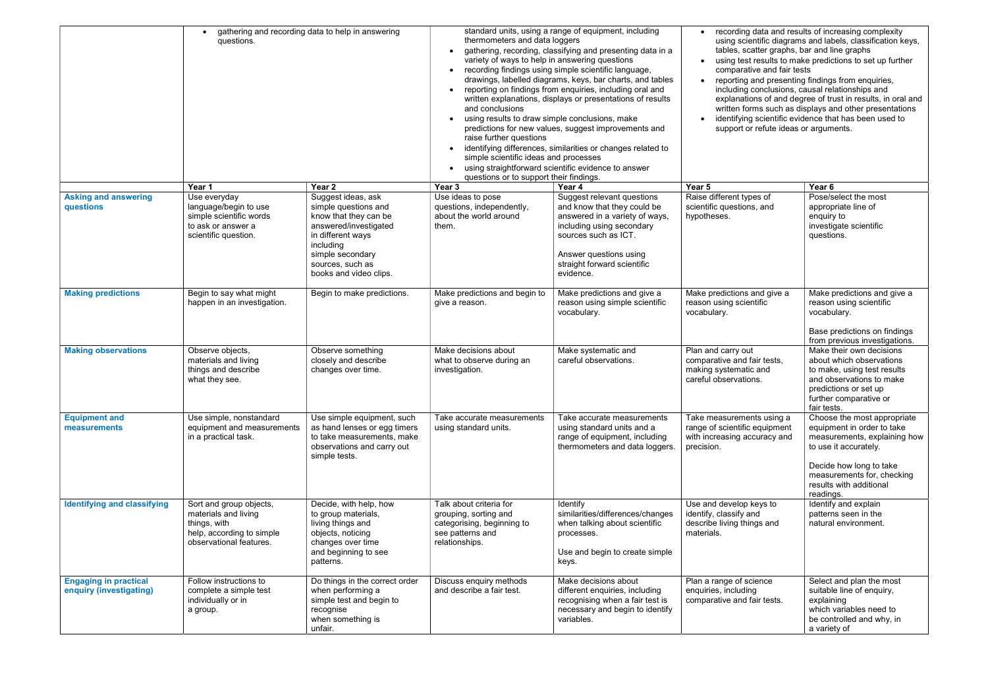|                                                         | gathering and recording data to help in answering<br>questions.                                                          |                                                                                                                                                                                                            | standard units, using a range of equipment, including<br>thermometers and data loggers<br>gathering, recording, classifying and presenting data in a<br>variety of ways to help in answering questions<br>recording findings using simple scientific language,<br>drawings, labelled diagrams, keys, bar charts, and tables<br>reporting on findings from enquiries, including oral and<br>written explanations, displays or presentations of results<br>and conclusions<br>using results to draw simple conclusions, make<br>predictions for new values, suggest improvements and<br>raise further questions<br>identifying differences, similarities or changes related to<br>simple scientific ideas and processes<br>using straightforward scientific evidence to answer |                                                                                                                                                                                                                                  | recording data and results of increasing complexity<br>using scientific diagrams and labels, classification keys,<br>tables, scatter graphs, bar and line graphs<br>using test results to make predictions to set up further<br>comparative and fair tests<br>reporting and presenting findings from enquiries,<br>including conclusions, causal relationships and<br>explanations of and degree of trust in results, in oral and<br>written forms such as displays and other presentations<br>identifying scientific evidence that has been used to<br>support or refute ideas or arguments. |                                                                                                                                                                                                                     |
|---------------------------------------------------------|--------------------------------------------------------------------------------------------------------------------------|------------------------------------------------------------------------------------------------------------------------------------------------------------------------------------------------------------|------------------------------------------------------------------------------------------------------------------------------------------------------------------------------------------------------------------------------------------------------------------------------------------------------------------------------------------------------------------------------------------------------------------------------------------------------------------------------------------------------------------------------------------------------------------------------------------------------------------------------------------------------------------------------------------------------------------------------------------------------------------------------|----------------------------------------------------------------------------------------------------------------------------------------------------------------------------------------------------------------------------------|-----------------------------------------------------------------------------------------------------------------------------------------------------------------------------------------------------------------------------------------------------------------------------------------------------------------------------------------------------------------------------------------------------------------------------------------------------------------------------------------------------------------------------------------------------------------------------------------------|---------------------------------------------------------------------------------------------------------------------------------------------------------------------------------------------------------------------|
|                                                         |                                                                                                                          |                                                                                                                                                                                                            | questions or to support their findings.                                                                                                                                                                                                                                                                                                                                                                                                                                                                                                                                                                                                                                                                                                                                      |                                                                                                                                                                                                                                  |                                                                                                                                                                                                                                                                                                                                                                                                                                                                                                                                                                                               |                                                                                                                                                                                                                     |
| <b>Asking and answering</b><br>questions                | Year 1<br>Use everyday<br>language/begin to use<br>simple scientific words<br>to ask or answer a<br>scientific question. | Year 2<br>Suggest ideas, ask<br>simple questions and<br>know that they can be<br>answered/investigated<br>in different ways<br>including<br>simple secondary<br>sources, such as<br>books and video clips. | Year 3<br>Use ideas to pose<br>questions, independently,<br>about the world around<br>them.                                                                                                                                                                                                                                                                                                                                                                                                                                                                                                                                                                                                                                                                                  | Year 4<br>Suggest relevant questions<br>and know that they could be<br>answered in a variety of ways,<br>including using secondary<br>sources such as ICT.<br>Answer questions using<br>straight forward scientific<br>evidence. | Year 5<br>Raise different types of<br>scientific questions, and<br>hypotheses.                                                                                                                                                                                                                                                                                                                                                                                                                                                                                                                | Year 6<br>Pose/select the most<br>appropriate line of<br>enquiry to<br>investigate scientific<br>questions.                                                                                                         |
| <b>Making predictions</b>                               | Begin to say what might<br>happen in an investigation.                                                                   | Begin to make predictions.                                                                                                                                                                                 | Make predictions and begin to<br>give a reason.                                                                                                                                                                                                                                                                                                                                                                                                                                                                                                                                                                                                                                                                                                                              | Make predictions and give a<br>reason using simple scientific<br>vocabulary.                                                                                                                                                     | Make predictions and give a<br>reason using scientific<br>vocabulary.                                                                                                                                                                                                                                                                                                                                                                                                                                                                                                                         | Make predictions and give a<br>reason using scientific<br>vocabulary.<br>Base predictions on findings<br>from previous investigations.                                                                              |
| <b>Making observations</b>                              | Observe objects,<br>materials and living<br>things and describe<br>what they see.                                        | Observe something<br>closely and describe<br>changes over time.                                                                                                                                            | Make decisions about<br>what to observe during an<br>investigation.                                                                                                                                                                                                                                                                                                                                                                                                                                                                                                                                                                                                                                                                                                          | Make systematic and<br>careful observations.                                                                                                                                                                                     | Plan and carry out<br>comparative and fair tests,<br>making systematic and<br>careful observations.                                                                                                                                                                                                                                                                                                                                                                                                                                                                                           | Make their own decisions<br>about which observations<br>to make, using test results<br>and observations to make<br>predictions or set up<br>further comparative or<br>fair tests.                                   |
| <b>Equipment and</b><br>measurements                    | Use simple, nonstandard<br>equipment and measurements<br>in a practical task.                                            | Use simple equipment, such<br>as hand lenses or egg timers<br>to take measurements, make<br>observations and carry out<br>simple tests.                                                                    | Take accurate measurements<br>using standard units.                                                                                                                                                                                                                                                                                                                                                                                                                                                                                                                                                                                                                                                                                                                          | Take accurate measurements<br>using standard units and a<br>range of equipment, including<br>thermometers and data loggers.                                                                                                      | Take measurements using a<br>range of scientific equipment<br>with increasing accuracy and<br>precision.                                                                                                                                                                                                                                                                                                                                                                                                                                                                                      | Choose the most appropriate<br>equipment in order to take<br>measurements, explaining how<br>to use it accurately.<br>Decide how long to take<br>measurements for, checking<br>results with additional<br>readings. |
| <b>Identifying and classifying</b>                      | Sort and group objects,<br>materials and living<br>things, with<br>help, according to simple<br>observational features.  | Decide, with help, how<br>to group materials,<br>living things and<br>objects, noticing<br>changes over time<br>and beginning to see<br>patterns.                                                          | Talk about criteria for<br>grouping, sorting and<br>categorising, beginning to<br>see patterns and<br>relationships.                                                                                                                                                                                                                                                                                                                                                                                                                                                                                                                                                                                                                                                         | Identify<br>similarities/differences/changes<br>when talking about scientific<br>processes.<br>Use and begin to create simple<br>keys.                                                                                           | Use and develop keys to<br>identify, classify and<br>describe living things and<br>materials.                                                                                                                                                                                                                                                                                                                                                                                                                                                                                                 | Identify and explain<br>patterns seen in the<br>natural environment.                                                                                                                                                |
| <b>Engaging in practical</b><br>enquiry (investigating) | Follow instructions to<br>complete a simple test<br>individually or in<br>a group.                                       | Do things in the correct order<br>when performing a<br>simple test and begin to<br>recognise<br>when something is<br>unfair.                                                                               | Discuss enquiry methods<br>and describe a fair test.                                                                                                                                                                                                                                                                                                                                                                                                                                                                                                                                                                                                                                                                                                                         | Make decisions about<br>different enquiries, including<br>recognising when a fair test is<br>necessary and begin to identify<br>variables.                                                                                       | Plan a range of science<br>enquiries, including<br>comparative and fair tests.                                                                                                                                                                                                                                                                                                                                                                                                                                                                                                                | Select and plan the most<br>suitable line of enquiry,<br>explaining<br>which variables need to<br>be controlled and why, in<br>a variety of                                                                         |